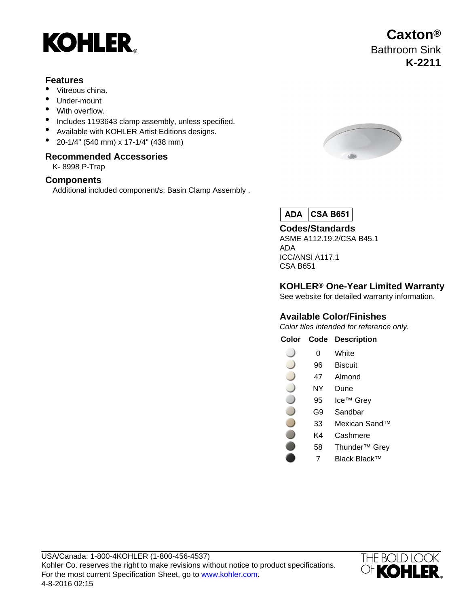

## **Features**

- Vitreous china.
- Under-mount
- With overflow.
- Includes 1193643 clamp assembly, unless specified.
- Available with KOHLER Artist Editions designs.
- 20-1/4" (540 mm) x 17-1/4" (438 mm)

### **Recommended Accessories**

K- 8998 P-Trap

### **Components**

Additional included component/s: Basin Clamp Assembly .



 $ADA$ **CSA B651**

**Codes/Standards** ASME A112.19.2/CSA B45.1 ADA ICC/ANSI A117.1 CSA B651

## **KOHLER® One-Year Limited Warranty**

See website for detailed warranty information.

### **Available Color/Finishes**

Color tiles intended for reference only.

**Color Code Description**

- 0 White
- 96 Biscuit
- 
- NY Dune
- 95 Ice™ Grey
- G9 Sandbar
- 33 Mexican Sand™
- K4 Cashmere
- 58 Thunder™ Grey
	- 7 Black Black™



- 47 Almond
- 
- 
- 
- 
- 

# **Caxton®** Bathroom Sink **K-2211**